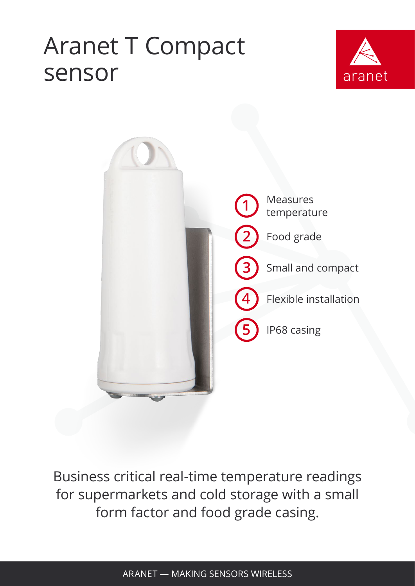## Aranet T Compact sensor





Business critical real-time temperature readings for supermarkets and cold storage with a small form factor and food grade casing.